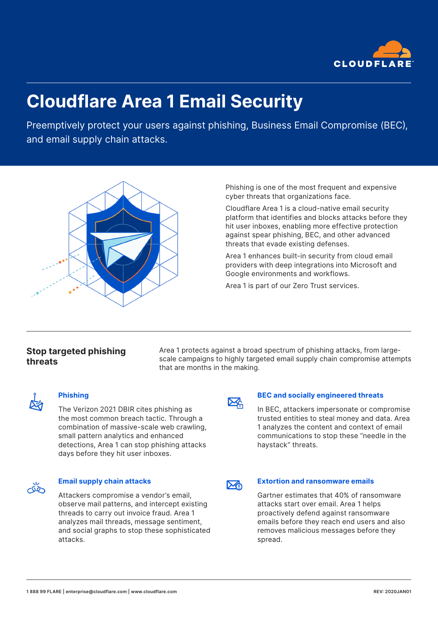

# **Cloudflare Area 1 Email Security**

Preemptively protect your users against phishing, Business Email Compromise (BEC), and email supply chain attacks.



Phishing is one of the most frequent and expensive cyber threats that organizations face.

Cloudflare Area 1 is a cloud-native email security platform that identifies and blocks attacks before they hit user inboxes, enabling more effective protection against spear phishing, BEC, and other advanced threats that evade existing defenses.

Area 1 enhances built-in security from cloud email providers with deep integrations into Microsoft and Google environments and workflows.

Area 1 is part of our Zero Trust services.

# **Stop targeted phishing threats**

Area 1 protects against a broad spectrum of phishing attacks, from largescale campaigns to highly targeted email supply chain compromise attempts that are months in the making.



## **Phishing**

The Verizon 2021 DBIR cites phishing as the most common breach tactic. Through a combination of massive-scale web crawling, small pattern analytics and enhanced detections, Area 1 can stop phishing attacks days before they hit user inboxes.



#### **Email supply chain attacks**

Attackers compromise a vendor's email, observe mail patterns, and intercept existing threads to carry out invoice fraud. Area 1 analyzes mail threads, message sentiment, and social graphs to stop these sophisticated attacks.



## **BEC and socially engineered threats**

In BEC, attackers impersonate or compromise trusted entities to steal money and data. Area 1 analyzes the content and context of email communications to stop these "needle in the haystack" threats.

# ⋙

## **Extortion and ransomware emails**

Gartner estimates that 40% of ransomware attacks start over email. Area 1 helps proactively defend against ransomware emails before they reach end users and also removes malicious messages before they spread.